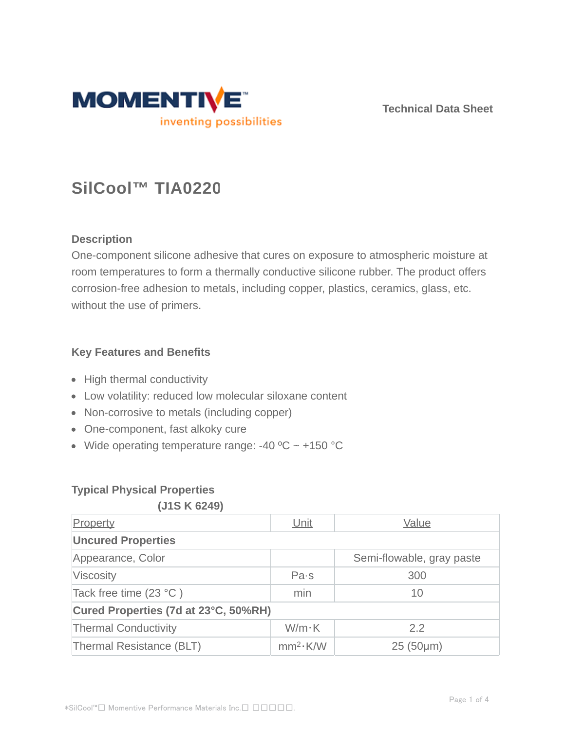

**Technical Data Sheet**

# **SilCool™ TIA0220**

# **Description**

One-component silicone adhesive that cures on exposure to atmospheric moisture at room temperatures to form a thermally conductive silicone rubber. The product offers corrosion-free adhesion to metals, including copper, plastics, ceramics, glass, etc. without the use of primers.

# **Key Features and Benefits**

- High thermal conductivity
- Low volatility: reduced low molecular siloxane content
- Non-corrosive to metals (including copper)
- One-component, fast alkoky cure
- Wide operating temperature range: -40  $^{\circ}$ C ~ +150  $^{\circ}$ C

# **Typical Physical Properties**

#### **(J1S K 6249)**

| Property                             | Unit                 | Value                     |  |  |  |
|--------------------------------------|----------------------|---------------------------|--|--|--|
| <b>Uncured Properties</b>            |                      |                           |  |  |  |
| Appearance, Color                    |                      | Semi-flowable, gray paste |  |  |  |
| Viscosity                            | Pa·s                 | 300                       |  |  |  |
| Tack free time $(23 °C)$             | min                  | 10                        |  |  |  |
| Cured Properties (7d at 23°C, 50%RH) |                      |                           |  |  |  |
| <b>Thermal Conductivity</b>          | $W/m \cdot K$        | 2.2                       |  |  |  |
| Thermal Resistance (BLT)             | mm <sup>2</sup> ·K/W | $25(50 \mu m)$            |  |  |  |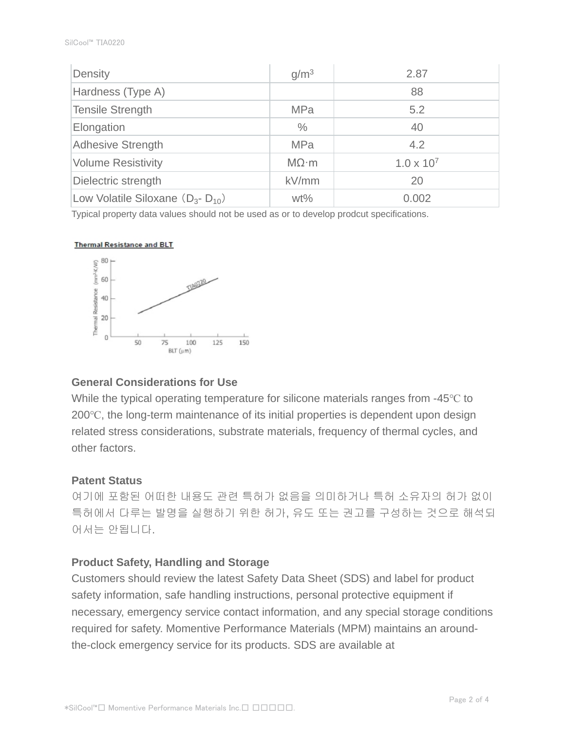| Density                                  | g/m <sup>3</sup>  | 2.87                |  |
|------------------------------------------|-------------------|---------------------|--|
| Hardness (Type A)                        |                   | 88                  |  |
| Tensile Strength                         | <b>MPa</b>        | 5.2                 |  |
| Elongation                               | $\%$              | 40                  |  |
| <b>Adhesive Strength</b>                 | <b>MPa</b>        | 4.2                 |  |
| <b>Volume Resistivity</b>                | $M\Omega \cdot m$ | $1.0 \times 10^{7}$ |  |
| Dielectric strength                      | kV/mm             | 20                  |  |
| Low Volatile Siloxane $(D_{3} - D_{10})$ | $wt\%$            | 0.002               |  |

Typical property data values should not be used as or to develop prodcut specifications.

#### **Thermal Resistance and BLT**



#### **General Considerations for Use**

While the typical operating temperature for silicone materials ranges from -45℃ to 200℃, the long-term maintenance of its initial properties is dependent upon design related stress considerations, substrate materials, frequency of thermal cycles, and other factors.

#### **Patent Status**

여기에 포함된 어떠한 내용도 관련 특허가 없음을 의미하거나 특허 소유자의 허가 없이 특허에서 다루는 발명을 실행하기 위한 허가, 유도 또는 권고를 구성하는 것으로 해석되 어서는 안됩니다.

#### **Product Safety, Handling and Storage**

Customers should review the latest Safety Data Sheet (SDS) and label for product safety information, safe handling instructions, personal protective equipment if necessary, emergency service contact information, and any special storage conditions required for safety. Momentive Performance Materials (MPM) maintains an aroundthe-clock emergency service for its products. SDS are available at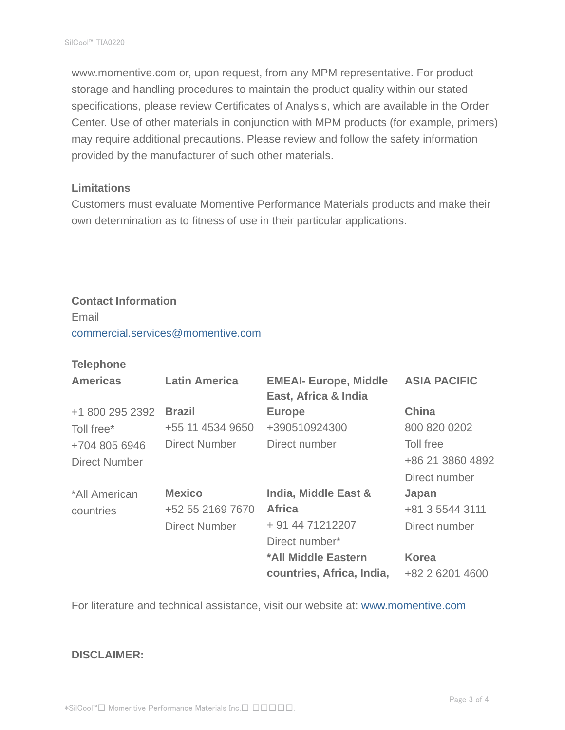www.momentive.com or, upon request, from any MPM representative. For product storage and handling procedures to maintain the product quality within our stated specifications, please review Certificates of Analysis, which are available in the Order Center. Use of other materials in conjunction with MPM products (for example, primers) may require additional precautions. Please review and follow the safety information provided by the manufacturer of such other materials.

#### **Limitations**

Customers must evaluate Momentive Performance Materials products and make their own determination as to fitness of use in their particular applications.

# **Contact Information**

Email commercial.services@momentive.com

#### **Telephone**

| <b>Americas</b> | <b>Latin America</b> | <b>EMEAI- Europe, Middle</b><br>East, Africa & India | <b>ASIA PACIFIC</b> |
|-----------------|----------------------|------------------------------------------------------|---------------------|
| +1 800 295 2392 | <b>Brazil</b>        | <b>Europe</b>                                        | <b>China</b>        |
| Toll free*      | +55 11 4534 9650     | +390510924300                                        | 800 820 0202        |
| +704 805 6946   | <b>Direct Number</b> | Direct number                                        | Toll free           |
| Direct Number   |                      |                                                      | +86 21 3860 4892    |
|                 |                      |                                                      | Direct number       |
| *All American   | <b>Mexico</b>        | <b>India, Middle East &amp;</b>                      | Japan               |
| countries       | +52 55 2169 7670     | <b>Africa</b>                                        | +81 3 5544 3111     |
|                 | <b>Direct Number</b> | + 91 44 71212207                                     | Direct number       |
|                 |                      | Direct number*                                       |                     |
|                 |                      | *All Middle Eastern                                  | <b>Korea</b>        |
|                 |                      | countries, Africa, India,                            | +82 2 6201 4600     |

For literature and technical assistance, visit our website at: www.momentive.com

#### **DISCLAIMER:**